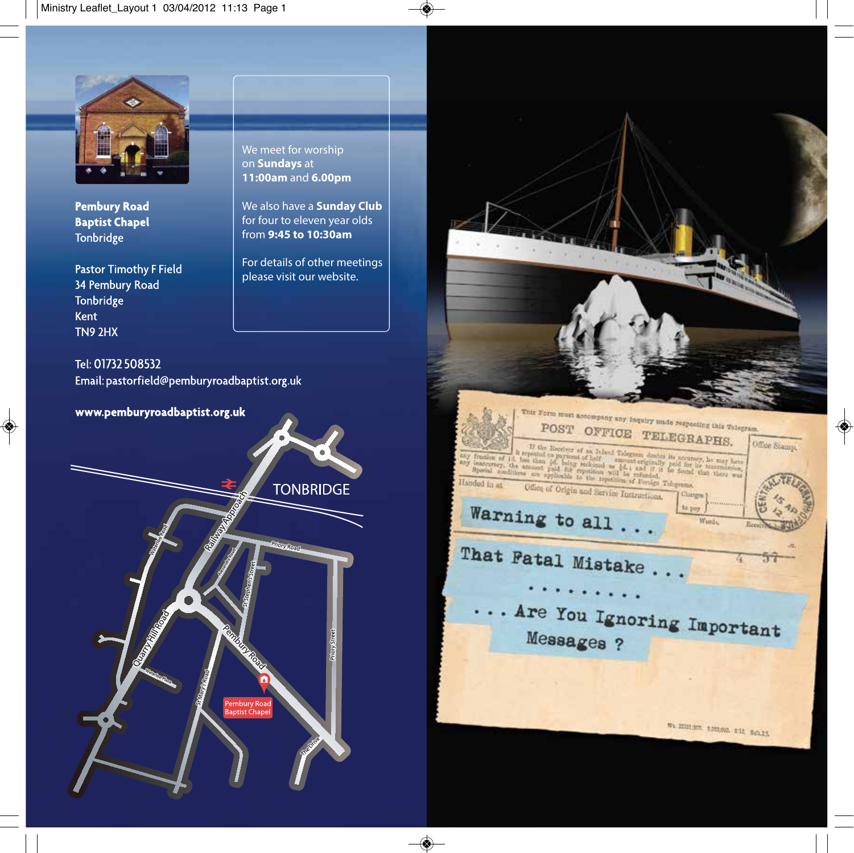

**Pembury Road Baptist Chapel** Tonbridge

**Pastor Timothy F Field** 34 Pembury Road Tonbridge Kent TN9 2HX

Tel: 01732 508532 Email: pastorfield@pemburyroadbaptist.org.uk

www.pemburyroadbaptist.org.uk



We meet for worship on **Sundays** at **11:00am** and **6.00pm**

We also have a **Sunday Club** for four to eleven year olds from **9:45 to 10:30am**

For details of other meetings please visit our website.